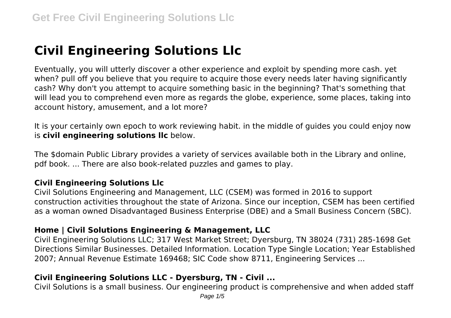# **Civil Engineering Solutions Llc**

Eventually, you will utterly discover a other experience and exploit by spending more cash. yet when? pull off you believe that you require to acquire those every needs later having significantly cash? Why don't you attempt to acquire something basic in the beginning? That's something that will lead you to comprehend even more as regards the globe, experience, some places, taking into account history, amusement, and a lot more?

It is your certainly own epoch to work reviewing habit. in the middle of guides you could enjoy now is **civil engineering solutions llc** below.

The \$domain Public Library provides a variety of services available both in the Library and online, pdf book. ... There are also book-related puzzles and games to play.

# **Civil Engineering Solutions Llc**

Civil Solutions Engineering and Management, LLC (CSEM) was formed in 2016 to support construction activities throughout the state of Arizona. Since our inception, CSEM has been certified as a woman owned Disadvantaged Business Enterprise (DBE) and a Small Business Concern (SBC).

# **Home | Civil Solutions Engineering & Management, LLC**

Civil Engineering Solutions LLC; 317 West Market Street; Dyersburg, TN 38024 (731) 285-1698 Get Directions Similar Businesses. Detailed Information. Location Type Single Location; Year Established 2007; Annual Revenue Estimate 169468; SIC Code show 8711, Engineering Services ...

# **Civil Engineering Solutions LLC - Dyersburg, TN - Civil ...**

Civil Solutions is a small business. Our engineering product is comprehensive and when added staff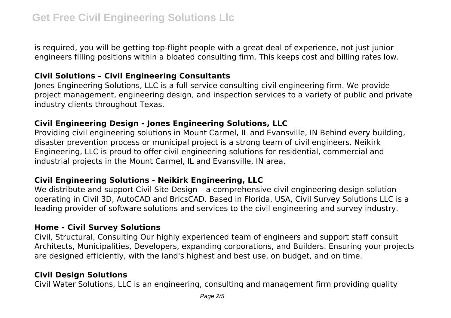is required, you will be getting top-flight people with a great deal of experience, not just junior engineers filling positions within a bloated consulting firm. This keeps cost and billing rates low.

## **Civil Solutions – Civil Engineering Consultants**

Jones Engineering Solutions, LLC is a full service consulting civil engineering firm. We provide project management, engineering design, and inspection services to a variety of public and private industry clients throughout Texas.

# **Civil Engineering Design - Jones Engineering Solutions, LLC**

Providing civil engineering solutions in Mount Carmel, IL and Evansville, IN Behind every building, disaster prevention process or municipal project is a strong team of civil engineers. Neikirk Engineering, LLC is proud to offer civil engineering solutions for residential, commercial and industrial projects in the Mount Carmel, IL and Evansville, IN area.

# **Civil Engineering Solutions - Neikirk Engineering, LLC**

We distribute and support Civil Site Design – a comprehensive civil engineering design solution operating in Civil 3D, AutoCAD and BricsCAD. Based in Florida, USA, Civil Survey Solutions LLC is a leading provider of software solutions and services to the civil engineering and survey industry.

# **Home - Civil Survey Solutions**

Civil, Structural, Consulting Our highly experienced team of engineers and support staff consult Architects, Municipalities, Developers, expanding corporations, and Builders. Ensuring your projects are designed efficiently, with the land's highest and best use, on budget, and on time.

# **Civil Design Solutions**

Civil Water Solutions, LLC is an engineering, consulting and management firm providing quality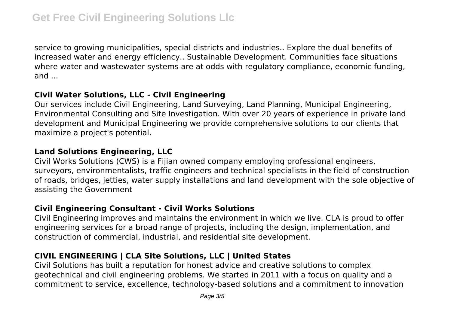service to growing municipalities, special districts and industries.. Explore the dual benefits of increased water and energy efficiency.. Sustainable Development. Communities face situations where water and wastewater systems are at odds with regulatory compliance, economic funding, and ...

# **Civil Water Solutions, LLC - Civil Engineering**

Our services include Civil Engineering, Land Surveying, Land Planning, Municipal Engineering, Environmental Consulting and Site Investigation. With over 20 years of experience in private land development and Municipal Engineering we provide comprehensive solutions to our clients that maximize a project's potential.

#### **Land Solutions Engineering, LLC**

Civil Works Solutions (CWS) is a Fijian owned company employing professional engineers, surveyors, environmentalists, traffic engineers and technical specialists in the field of construction of roads, bridges, jetties, water supply installations and land development with the sole objective of assisting the Government

#### **Civil Engineering Consultant - Civil Works Solutions**

Civil Engineering improves and maintains the environment in which we live. CLA is proud to offer engineering services for a broad range of projects, including the design, implementation, and construction of commercial, industrial, and residential site development.

# **CIVIL ENGINEERING | CLA Site Solutions, LLC | United States**

Civil Solutions has built a reputation for honest advice and creative solutions to complex geotechnical and civil engineering problems. We started in 2011 with a focus on quality and a commitment to service, excellence, technology-based solutions and a commitment to innovation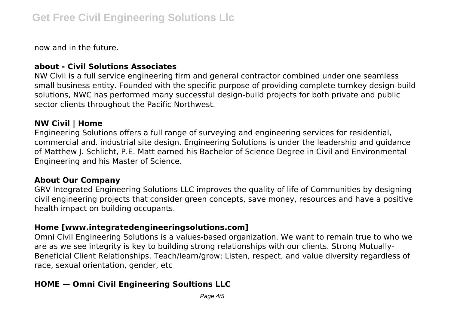now and in the future.

### **about - Civil Solutions Associates**

NW Civil is a full service engineering firm and general contractor combined under one seamless small business entity. Founded with the specific purpose of providing complete turnkey design-build solutions, NWC has performed many successful design-build projects for both private and public sector clients throughout the Pacific Northwest.

#### **NW Civil | Home**

Engineering Solutions offers a full range of surveying and engineering services for residential, commercial and. industrial site design. Engineering Solutions is under the leadership and guidance of Matthew J. Schlicht, P.E. Matt earned his Bachelor of Science Degree in Civil and Environmental Engineering and his Master of Science.

#### **About Our Company**

GRV Integrated Engineering Solutions LLC improves the quality of life of Communities by designing civil engineering projects that consider green concepts, save money, resources and have a positive health impact on building occupants.

#### **Home [www.integratedengineeringsolutions.com]**

Omni Civil Engineering Solutions is a values-based organization. We want to remain true to who we are as we see integrity is key to building strong relationships with our clients. Strong Mutually-Beneficial Client Relationships. Teach/learn/grow; Listen, respect, and value diversity regardless of race, sexual orientation, gender, etc

# **HOME — Omni Civil Engineering Soultions LLC**